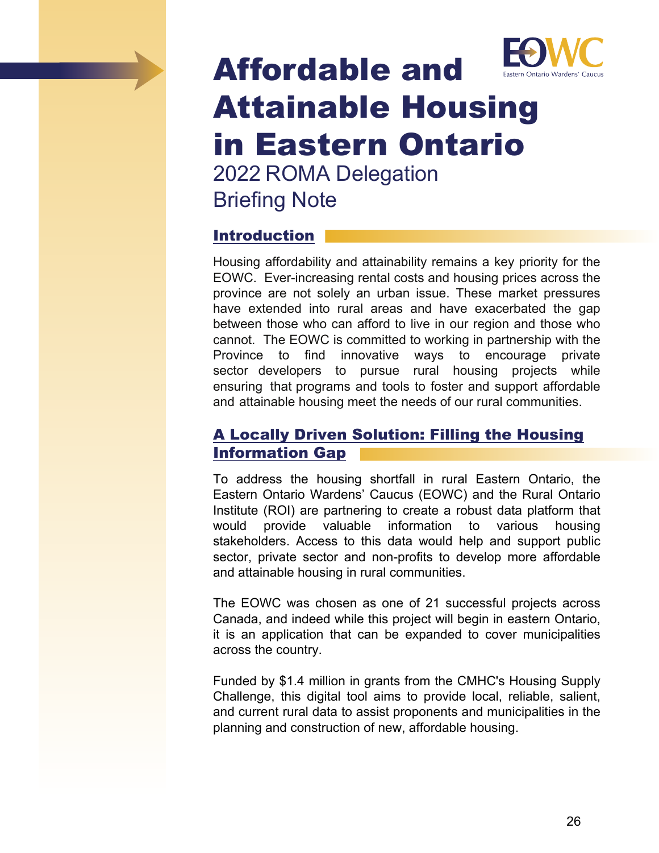

# Affordable and Attainable Housing in Eastern Ontario 2022 ROMA Delegation

Briefing Note

## Introduction

Housing affordability and attainability remains a key priority for the EOWC. Ever-increasing rental costs and housing prices across the province are not solely an urban issue. These market pressures have extended into rural areas and have exacerbated the gap between those who can afford to live in our region and those who cannot. The EOWC is committed to working in partnership with the Province to find innovative ways to encourage private sector developers to pursue rural housing projects while ensuring that programs and tools to foster and support affordable and attainable housing meet the needs of our rural communities.

## A Locally Driven Solution: Filling the Housing Information Gap

To address the housing shortfall in rural Eastern Ontario, the Eastern Ontario Wardens' Caucus (EOWC) and the Rural Ontario Institute (ROI) are partnering to create a robust data platform that would provide valuable information to various housing stakeholders. Access to this data would help and support public sector, private sector and non-profits to develop more affordable and attainable housing in rural communities.

The EOWC was chosen as one of 21 successful projects across Canada, and indeed while this project will begin in eastern Ontario, it is an application that can be expanded to cover municipalities across the country.

Funded by \$1.4 million in grants from the CMHC's Housing Supply Challenge, this digital tool aims to provide local, reliable, salient, and current rural data to assist proponents and municipalities in the planning and construction of new, affordable housing.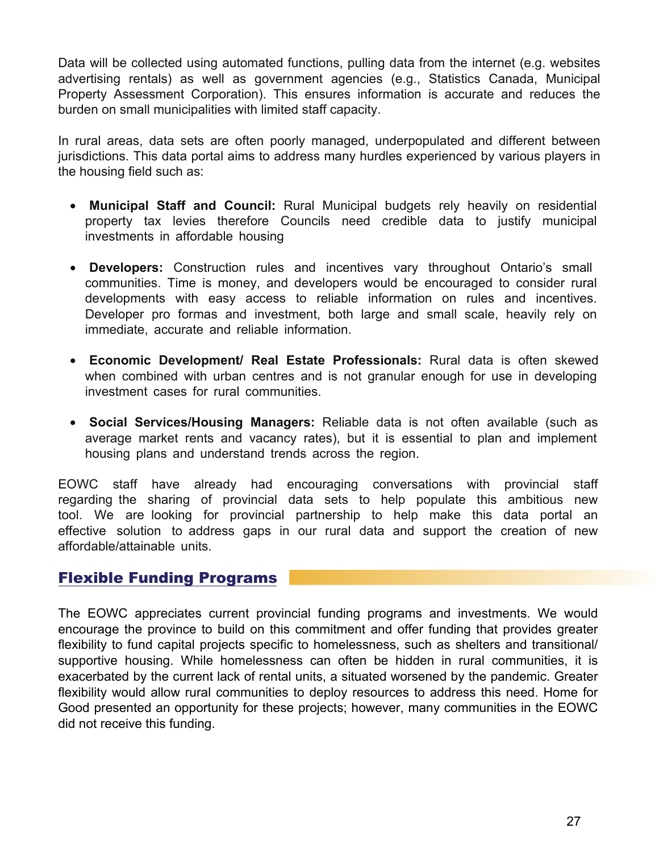Data will be collected using automated functions, pulling data from the internet (e.g. websites advertising rentals) as well as government agencies (e.g., Statistics Canada, Municipal Property Assessment Corporation). This ensures information is accurate and reduces the burden on small municipalities with limited staff capacity.

In rural areas, data sets are often poorly managed, underpopulated and different between jurisdictions. This data portal aims to address many hurdles experienced by various players in the housing field such as:

- **Municipal Staff and Council:** Rural Municipal budgets rely heavily on residential property tax levies therefore Councils need credible data to justify municipal investments in affordable housing
- **Developers:** Construction rules and incentives vary throughout Ontario's small communities. Time is money, and developers would be encouraged to consider rural developments with easy access to reliable information on rules and incentives. Developer pro formas and investment, both large and small scale, heavily rely on immediate, accurate and reliable information.
- **Economic Development/ Real Estate Professionals:** Rural data is often skewed when combined with urban centres and is not granular enough for use in developing investment cases for rural communities.
- **Social Services/Housing Managers:** Reliable data is not often available (such as average market rents and vacancy rates), but it is essential to plan and implement housing plans and understand trends across the region.

EOWC staff have already had encouraging conversations with provincial staff regarding the sharing of provincial data sets to help populate this ambitious new tool. We are looking for provincial partnership to help make this data portal an effective solution to address gaps in our rural data and support the creation of new affordable/attainable units.

#### Flexible Funding Programs

The EOWC appreciates current provincial funding programs and investments. We would encourage the province to build on this commitment and offer funding that provides greater flexibility to fund capital projects specific to homelessness, such as shelters and transitional/ supportive housing. While homelessness can often be hidden in rural communities, it is exacerbated by the current lack of rental units, a situated worsened by the pandemic. Greater flexibility would allow rural communities to deploy resources to address this need. Home for Good presented an opportunity for these projects; however, many communities in the EOWC did not receive this funding.